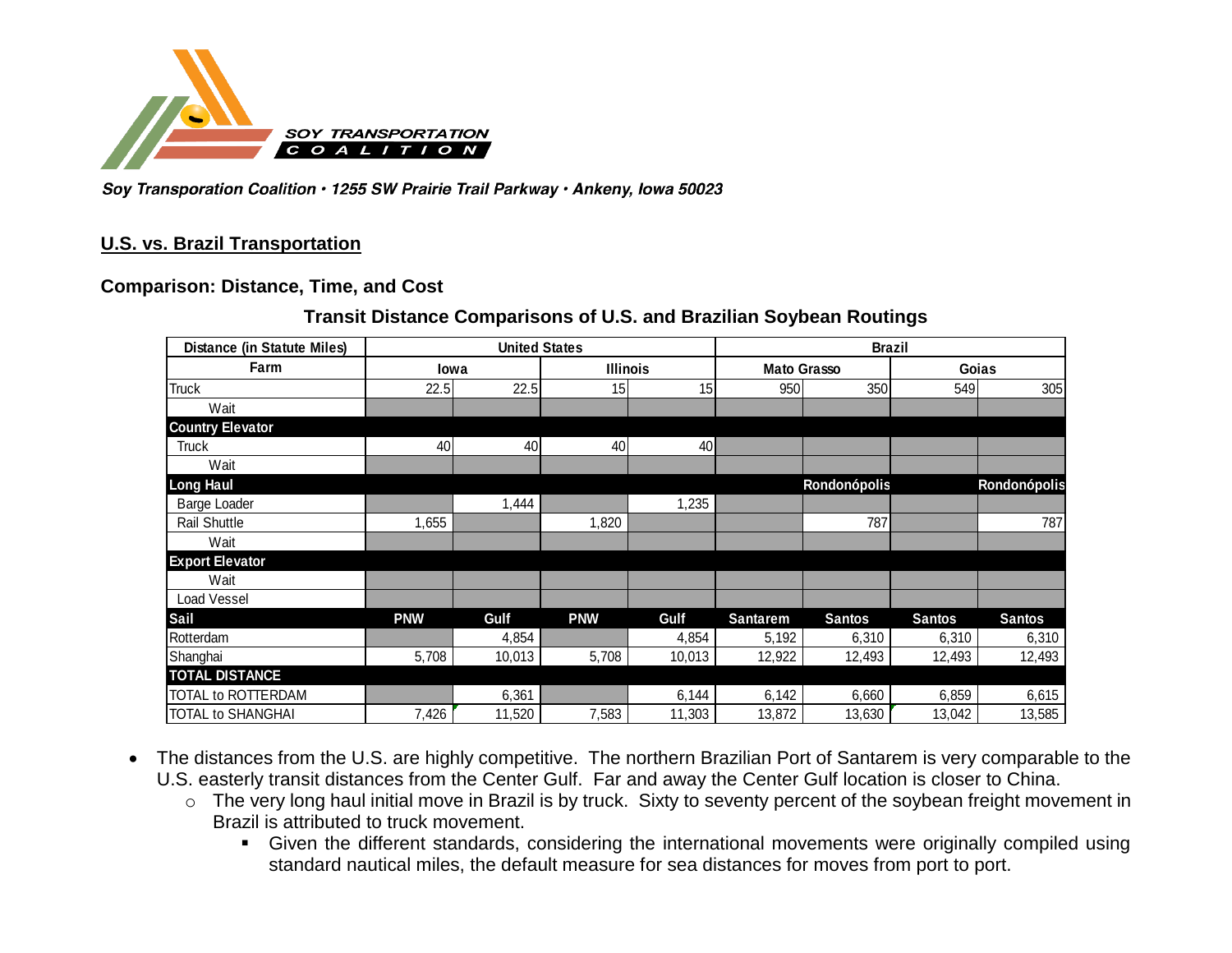

Soy Transporation Coalition · 1255 SW Prairie Trail Parkway · Ankeny, lowa 50023

## **U.S. vs. Brazil Transportation**

### **Comparison: Distance, Time, and Cost**

## **Transit Distance Comparisons of U.S. and Brazilian Soybean Routings**

| <b>Distance (in Statute Miles)</b> | <b>United States</b> |                         |            |                    | <b>Brazil</b>   |               |               |               |  |
|------------------------------------|----------------------|-------------------------|------------|--------------------|-----------------|---------------|---------------|---------------|--|
| Farm                               |                      | <b>Illinois</b><br>lowa |            | <b>Mato Grasso</b> |                 | Goias         |               |               |  |
| <b>Truck</b>                       | 22.5                 | 22.5                    | 15         | 15                 | 950             | 350           | 549           | 305           |  |
| Wait                               |                      |                         |            |                    |                 |               |               |               |  |
| <b>Country Elevator</b>            |                      |                         |            |                    |                 |               |               |               |  |
| <b>Truck</b>                       | 40                   | 40                      | 40         | 40                 |                 |               |               |               |  |
| Wait                               |                      |                         |            |                    |                 |               |               |               |  |
| <b>Long Haul</b>                   |                      |                         |            |                    |                 | Rondonópolis  |               | Rondonópolis  |  |
| <b>Barge Loader</b>                |                      | 1,444                   |            | ,235               |                 |               |               |               |  |
| <b>Rail Shuttle</b>                | 1,655                |                         | 1,820      |                    |                 | 787           |               | 787           |  |
| Wait                               |                      |                         |            |                    |                 |               |               |               |  |
| <b>Export Elevator</b>             |                      |                         |            |                    |                 |               |               |               |  |
| Wait                               |                      |                         |            |                    |                 |               |               |               |  |
| Load Vessel                        |                      |                         |            |                    |                 |               |               |               |  |
| Sail                               | <b>PNW</b>           | Gulf                    | <b>PNW</b> | Gulf               | <b>Santarem</b> | <b>Santos</b> | <b>Santos</b> | <b>Santos</b> |  |
| Rotterdam                          |                      | 4,854                   |            | 4,854              | 5,192           | 6,310         | 6,310         | 6,310         |  |
| Shanghai                           | 5,708                | 10,013                  | 5,708      | 10,013             | 12,922          | 12,493        | 12,493        | 12,493        |  |
| <b>TOTAL DISTANCE</b>              |                      |                         |            |                    |                 |               |               |               |  |
| TOTAL to ROTTERDAM                 |                      | 6,361                   |            | 6,144              | 6,142           | 6,660         | 6,859         | 6,615         |  |
| <b>TOTAL to SHANGHAI</b>           | 7,426                | 11,520                  | 7,583      | 11,303             | 13,872          | 13,630        | 13,042        | 13,585        |  |

- The distances from the U.S. are highly competitive. The northern Brazilian Port of Santarem is very comparable to the U.S. easterly transit distances from the Center Gulf. Far and away the Center Gulf location is closer to China.
	- o The very long haul initial move in Brazil is by truck. Sixty to seventy percent of the soybean freight movement in Brazil is attributed to truck movement.
		- Given the different standards, considering the international movements were originally compiled using standard nautical miles, the default measure for sea distances for moves from port to port.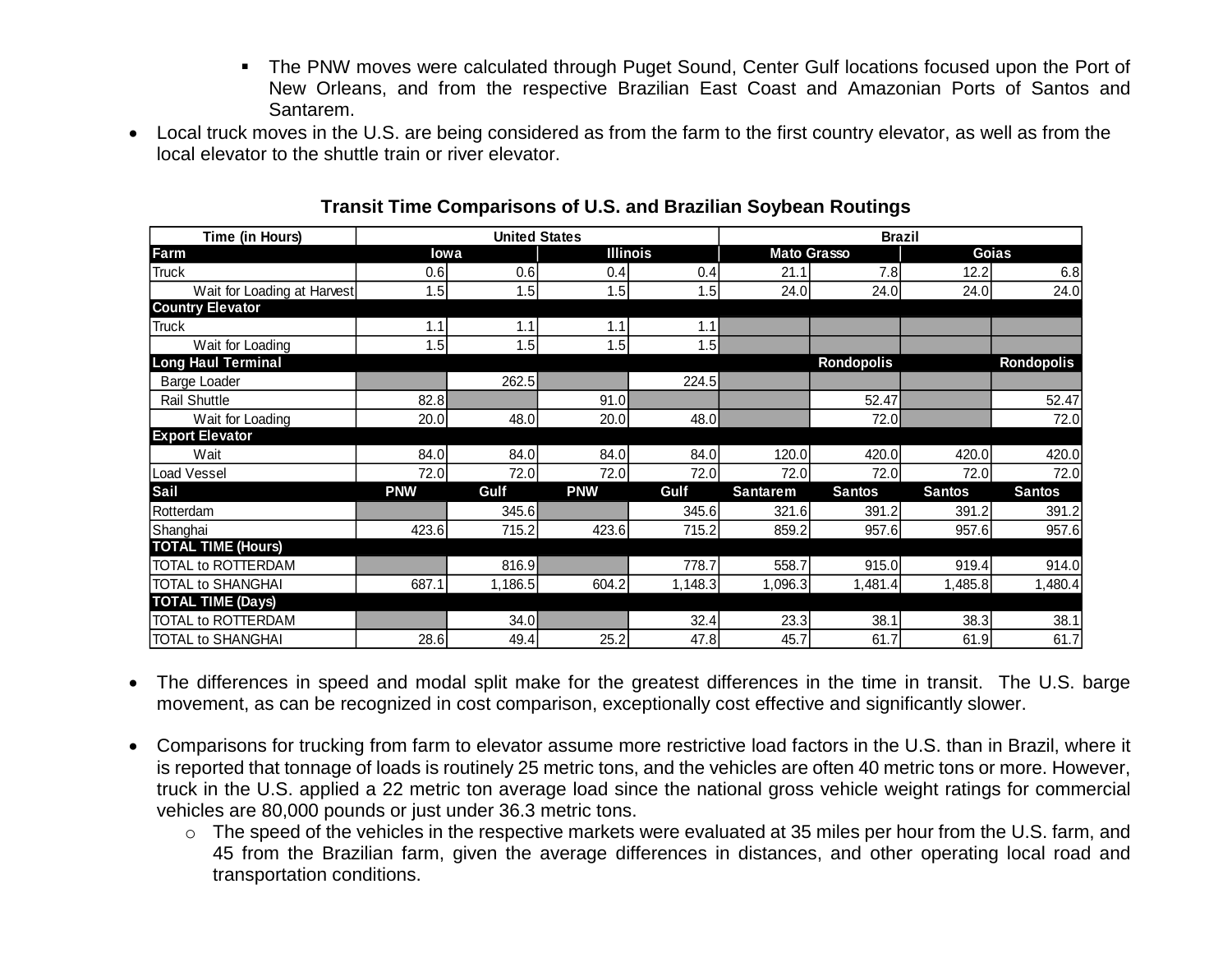- The PNW moves were calculated through Puget Sound, Center Gulf locations focused upon the Port of New Orleans, and from the respective Brazilian East Coast and Amazonian Ports of Santos and Santarem.
- Local truck moves in the U.S. are being considered as from the farm to the first country elevator, as well as from the local elevator to the shuttle train or river elevator.

|                             |                      | Transit Time Comparisons of U.S. and Brazilian Soybean Routings |                 |         |                    |                   |               |               |
|-----------------------------|----------------------|-----------------------------------------------------------------|-----------------|---------|--------------------|-------------------|---------------|---------------|
| Time (in Hours)             | <b>United States</b> |                                                                 |                 |         | <b>Brazil</b>      |                   |               |               |
| Farm                        | <b>lowa</b>          |                                                                 | <b>Illinois</b> |         | <b>Mato Grasso</b> |                   | Goias         |               |
| <b>Truck</b>                | 0.6                  | 0.6                                                             | 0.4             | 0.4     | 21.1               | 7.8               | 12.2          | 6.8           |
| Wait for Loading at Harvest | 1.5                  | 1.5                                                             | 1.5             | 1.5     | 24.0               | 24.0              | 24.0          | 24.0          |
| <b>Country Elevator</b>     |                      |                                                                 |                 |         |                    |                   |               |               |
| Truck                       | 1.1                  | 1.1                                                             | 1.1             | 1.1     |                    |                   |               |               |
| Wait for Loading            | 1.5                  | 1.5                                                             | 1.5             | 1.5     |                    |                   |               |               |
| <b>Long Haul Terminal</b>   |                      |                                                                 |                 |         |                    | <b>Rondopolis</b> |               | Rondopolis    |
| <b>Barge Loader</b>         |                      | 262.5                                                           |                 | 224.5   |                    |                   |               |               |
| <b>Rail Shuttle</b>         | 82.8                 |                                                                 | 91.0            |         |                    | 52.47             |               | 52.47         |
| Wait for Loading            | 20.0                 | 48.0                                                            | 20.0            | 48.0    |                    | 72.0              |               | 72.0          |
| <b>Export Elevator</b>      |                      |                                                                 |                 |         |                    |                   |               |               |
| Wait                        | 84.0                 | 84.0                                                            | 84.0            | 84.0    | 120.0              | 420.0             | 420.0         | 420.0         |
| Load Vessel                 | 72.0                 | 72.0                                                            | 72.0            | 72.0    | 72.0               | 72.0              | 72.0          | 72.0          |
| Sail                        | <b>PNW</b>           | Gulf                                                            | <b>PNW</b>      | Gulf    | <b>Santarem</b>    | <b>Santos</b>     | <b>Santos</b> | <b>Santos</b> |
| Rotterdam                   |                      | 345.6                                                           |                 | 345.6   | 321.6              | 391.2             | 391.2         | 391.2         |
| Shanghai                    | 423.6                | 715.2                                                           | 423.6           | 715.2   | 859.2              | 957.6             | 957.6         | 957.6         |
| <b>TOTAL TIME (Hours)</b>   |                      |                                                                 |                 |         |                    |                   |               |               |
| TOTAL to ROTTERDAM          |                      | 816.9                                                           |                 | 778.7   | 558.7              | 915.0             | 919.4         | 914.0         |
| <b>TOTAL to SHANGHAI</b>    | 687.1                | 1,186.5                                                         | 604.2           | 1,148.3 | 1,096.3            | 1,481.4           | 1,485.8       | 1,480.4       |
| <b>TOTAL TIME (Days)</b>    |                      |                                                                 |                 |         |                    |                   |               |               |
| TOTAL to ROTTERDAM          |                      | 34.0                                                            |                 | 32.4    | 23.3               | 38.1              | 38.3          | 38.1          |
| <b>TOTAL to SHANGHAI</b>    | 28.6                 | 49.4                                                            | 25.2            | 47.8    | 45.7               | 61.7              | 61.9          | 61.7          |

## **Transit Time Comparisons of U.S. and Brazilian Soybean Routings**

- The differences in speed and modal split make for the greatest differences in the time in transit. The U.S. barge movement, as can be recognized in cost comparison, exceptionally cost effective and significantly slower.
- Comparisons for trucking from farm to elevator assume more restrictive load factors in the U.S. than in Brazil, where it is reported that tonnage of loads is routinely 25 metric tons, and the vehicles are often 40 metric tons or more. However, truck in the U.S. applied a 22 metric ton average load since the national gross vehicle weight ratings for commercial vehicles are 80,000 pounds or just under 36.3 metric tons.
	- o The speed of the vehicles in the respective markets were evaluated at 35 miles per hour from the U.S. farm, and 45 from the Brazilian farm, given the average differences in distances, and other operating local road and transportation conditions.